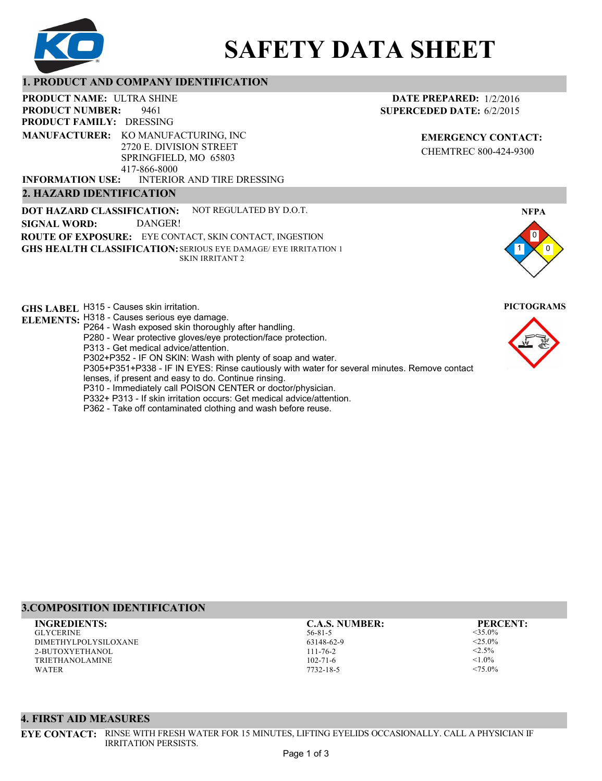

# **SAFETY DATA SHEET**

#### **1. PRODUCT AND COMPANY IDENTIFICATION**

9461 **PRODUCT NAME: ULTRA SHINE PRODUCT FAMILY: DRESSING** INTERIOR AND TIRE DRESSING **PRODUCT NUMBER: MANUFACTURER:** KO MANUFACTURING, INC 2720 E. DIVISION STREET SPRINGFIELD, MO 65803 417-866-8000 **INFORMATION USE:**

# **2. HAZARD IDENTIFICATION**

**DOT HAZARD CLASSIFICATION: GHS HEALTH CLASSIFICATION:** SERIOUS EYE DAMAGE/ EYE IRRITATION 1 **ROUTE OF EXPOSURE:** EYE CONTACT, SKIN CONTACT, INGESTION NOT REGULATED BY D.O.T. SKIN IRRITANT 2 **SIGNAL WORD:** DANGER!

**GHS LABEL**  H315 - Causes skin irritation. **PICTOGRAMS**

- **ELEMENTS:** H318 Causes serious eye damage. P264 - Wash exposed skin thoroughly after handling.
	- P280 Wear protective gloves/eye protection/face protection.
	- P313 Get medical advice/attention.
	- P302+P352 IF ON SKIN: Wash with plenty of soap and water.

P305+P351+P338 - IF IN EYES: Rinse cautiously with water for several minutes. Remove contact

- lenses, if present and easy to do. Continue rinsing.
- P310 Immediately call POISON CENTER or doctor/physician.
- P332+ P313 If skin irritation occurs: Get medical advice/attention.
- P362 Take off contaminated clothing and wash before reuse.

#### **DATE PREPARED:** 1/2/2016 **SUPERCEDED DATE:** 6/2/2015

**EMERGENCY CONTACT:** CHEMTREC 800-424-9300





# **3.COMPOSITION IDENTIFICATION**

GLYCERINE DIMETHYLPOLYSILOXANE 2-BUTOXYETHANOL TRIETHANOLAMINE WATER **INGREDIENTS: C.A.S. NUMBER: PERCENT:**

56-81-5 63148-62-9 111-76-2 102-71-6

7732-18-5

<35.0%  $<$ 25.0%  $< 2.5\%$  $<1.0\%$  $< 75.0\%$ 

#### **4. FIRST AID MEASURES**

**EYE CONTACT:** RINSE WITH FRESH WATER FOR 15 MINUTES, LIFTING EYELIDS OCCASIONALLY. CALL A PHYSICIAN IF IRRITATION PERSISTS.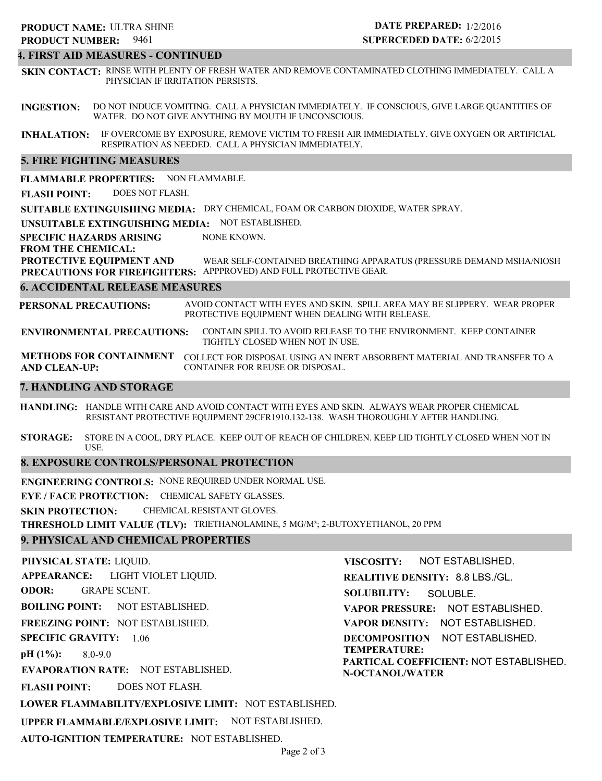### 9461 **PRODUCT NUMBER: PRODUCT NAME: ULTRA SHINE**

# **DATE PREPARED:** 1/2/2016 **SUPERCEDED DATE:** 6/2/2015

# **4. FIRST AID MEASURES - CONTINUED**

**SKIN CONTACT:** RINSE WITH PLENTY OF FRESH WATER AND REMOVE CONTAMINATED CLOTHING IMMEDIATELY. CALL A PHYSICIAN IF IRRITATION PERSISTS.

**INGESTION:** DO NOT INDUCE VOMITING. CALL A PHYSICIAN IMMEDIATELY. IF CONSCIOUS, GIVE LARGE QUANTITIES OF WATER. DO NOT GIVE ANYTHING BY MOUTH IF UNCONSCIOUS.

**INHALATION:** IF OVERCOME BY EXPOSURE, REMOVE VICTIM TO FRESH AIR IMMEDIATELY. GIVE OXYGEN OR ARTIFICIAL RESPIRATION AS NEEDED. CALL A PHYSICIAN IMMEDIATELY.

#### **5. FIRE FIGHTING MEASURES**

**FLAMMABLE PROPERTIES:** NON FLAMMABLE.

**FLASH POINT:** DOES NOT FLASH.

**SUITABLE EXTINGUISHING MEDIA:** DRY CHEMICAL, FOAM OR CARBON DIOXIDE, WATER SPRAY.

**UNSUITABLE EXTINGUISHING MEDIA:** NOT ESTABLISHED.

**SPECIFIC HAZARDS ARISING** NONE KNOWN.

#### **FROM THE CHEMICAL:**

**PROTECTIVE EQUIPMENT AND PRECAUTIONS FOR FIREFIGHTERS:** APPPROVED) AND FULL PROTECTIVE GEAR. WEAR SELF-CONTAINED BREATHING APPARATUS (PRESSURE DEMAND MSHA/NIOSH

#### **6. ACCIDENTAL RELEASE MEASURES**

**PERSONAL PRECAUTIONS:** AVOID CONTACT WITH EYES AND SKIN. SPILL AREA MAY BE SLIPPERY. WEAR PROPER PROTECTIVE EQUIPMENT WHEN DEALING WITH RELEASE.

**ENVIRONMENTAL PRECAUTIONS:** CONTAIN SPILL TO AVOID RELEASE TO THE ENVIRONMENT. KEEP CONTAINER TIGHTLY CLOSED WHEN NOT IN USE.

**METHODS FOR CONTAINMENT** COLLECT FOR DISPOSAL USING AN INERT ABSORBENT MATERIAL AND TRANSFER TO A **AND CLEAN-UP:** CONTAINER FOR REUSE OR DISPOSAL.

#### **7. HANDLING AND STORAGE**

**HANDLING:** HANDLE WITH CARE AND AVOID CONTACT WITH EYES AND SKIN. ALWAYS WEAR PROPER CHEMICAL RESISTANT PROTECTIVE EQUIPMENT 29CFR1910.132-138. WASH THOROUGHLY AFTER HANDLING.

**STORAGE:** STORE IN A COOL, DRY PLACE. KEEP OUT OF REACH OF CHILDREN. KEEP LID TIGHTLY CLOSED WHEN NOT IN USE.

#### **8. EXPOSURE CONTROLS/PERSONAL PROTECTION**

**ENGINEERING CONTROLS:** NONE REQUIRED UNDER NORMAL USE.

**EYE / FACE PROTECTION:** CHEMICAL SAFETY GLASSES.

**SKIN PROTECTION:** CHEMICAL RESISTANT GLOVES.

**AUTO-IGNITION TEMPERATURE:** NOT ESTABLISHED.

**THRESHOLD LIMIT VALUE (TLV):** TRIETHANOLAMINE, 5 MG/M³; 2-BUTOXYETHANOL, 20 PPM

### **9. PHYSICAL AND CHEMICAL PROPERTIES**

**PHYSICAL STATE:** LIQUID. **APPEARANCE: ODOR: BOILING POINT:** NOT ESTABLISHED. **FREEZING POINT:** NOT ESTABLISHED. **SPECIFIC GRAVITY:** 1.06 **pH (1%): EVAPORATION RATE:** NOT ESTABLISHED. **FLASH POINT: LOWER FLAMMABILITY/EXPLOSIVE LIMIT:** NOT ESTABLISHED. **UPPER FLAMMABLE/EXPLOSIVE LIMIT:** NOT ESTABLISHED. 8.0-9.0 DOES NOT FLASH. LIGHT VIOLET LIQUID. GRAPE SCENT. **VISCOSITY: REALITIVE DENSITY:** 8.8 LBS./GL. **SOLUBILITY: VAPOR PRESSURE:** NOT ESTABLISHED. **VAPOR DENSITY:** NOT ESTABLISHED. **DECOMPOSITION** NOT ESTABLISHED. **TEMPERATURE: PARTICAL COEFFICIENT:** NOT ESTABLISHED. **N-OCTANOL/WATER** NOT ESTABLISHED. SOLUBLE.